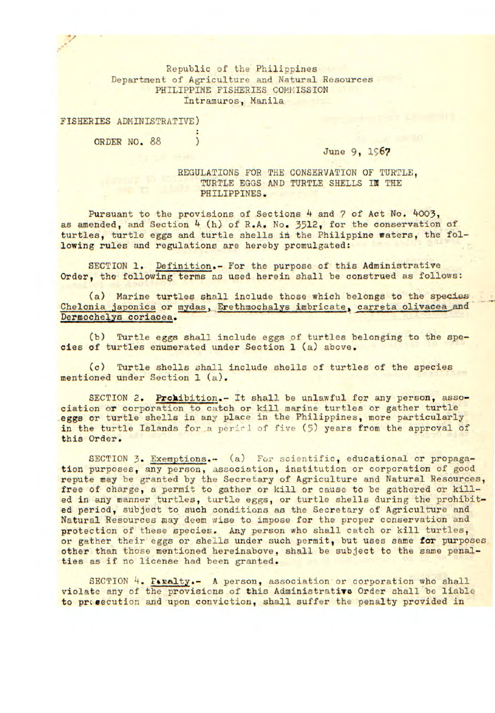Republic of the Philippines Department of Agriculture and Natural Resources PHILIPPINE FISHERIES COMMISSION Intramuros, Manila

FISHERIES ADMINISTRATIVE)

ORDER NO. 88

June 9, 1967

REGULATIONS FOR THE CONSERVATION OF TURTLE. TURTLE EGGS AND TURTLE SHELLS IN THE PHILIPPINES.

Pursuant to the provisions of Sections 4 and 7 of Act No. 4003, as amended, and Section 4 (h) of R.A. No. 3512, for the conservation of turtles, turtle eggs and turtle shells in the Philippine waters, the following rules and regulations are hereby promulgated:

*SECTION 1.* Definition.- For the purpose of this Administrative Order, the following terms as used herein shall be construed as follows:

(a) Marine turtles shall include those which belongs to the species Chelonia japonica or mydas, Erethmochalys imbricate, carreta olivacea and Dermochelys coriacea.

(b) Turtle eggs shall include eggs of turtles belonging to the species of turtles enumerated under Section 1 (a) above.

(c) Turtle shells shall include shells of turtles of the species mentioned under Section 1 (a).

SECTION 2. Prohibition.- It shall be unlawful for any person, association or corporation to catch or kill marine turtles or gather turtle eggs or turtle shells in any place in the Philippines, more particularly in the turtle Islands for a period of five (5) years from the approval of this Order.

SECTION 3. Exemptions.- (a) For scientific, educational or propagation purposes, any person, association, institution or corporation of good repute may be granted by the Secretary of Agriculture and Natural Resources, free of charge, a permit to gather or kill or cause to be gathered or killed in any manner turtles, turtle eggs, or turtle shells during the prohibited period, subject to such conditions as the Secretary of Agriculture and Natural Resources may deem wise to impose for the proper conservation and protection of these species. Any person who shall catch or kill turtles, or gather their eggs or shells under such permit, but uses same for purposes other than those mentioned hereinabove, shall be subject to the same penalties as if no license had been granted.

SECTION 4. Faralty.- A person, association or corporation who shall violate any of the provisicns of this Administrative Order shall be liable to prosecution and upon conviction, shall suffer the penalty provided in